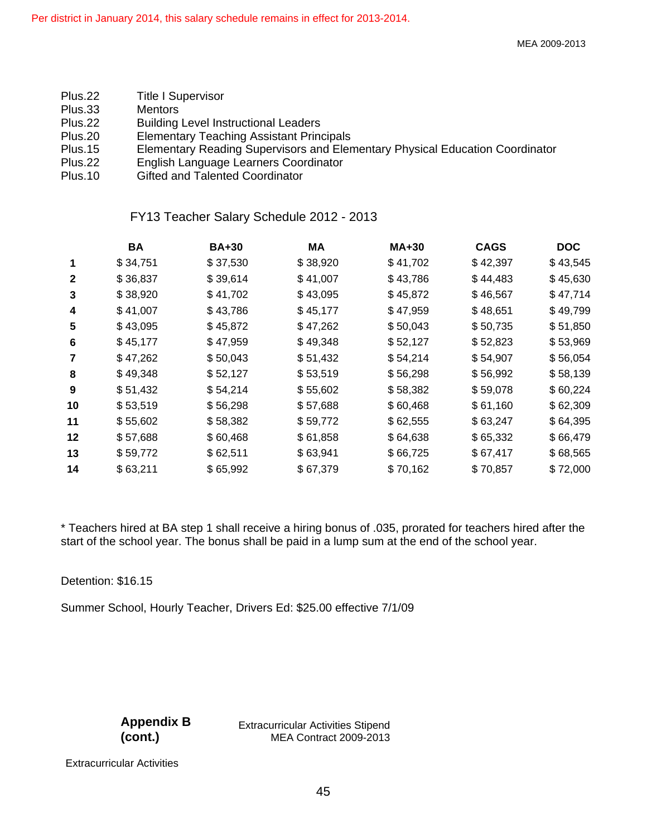- Plus.22 Title I Supervisor
- Plus.33 Mentors
- Plus.22 Building Level Instructional Leaders
- Plus.20 Elementary Teaching Assistant Principals
- Plus.15 Elementary Reading Supervisors and Elementary Physical Education Coordinator
- Plus.22 English Language Learners Coordinator<br>Plus.10 Gifted and Talented Coordinator
- **Gifted and Talented Coordinator**

## FY13 Teacher Salary Schedule 2012 - 2013

|              | BA       | <b>BA+30</b> | MA       | MA+30    | <b>CAGS</b> | <b>DOC</b> |
|--------------|----------|--------------|----------|----------|-------------|------------|
| $\mathbf 1$  | \$34,751 | \$37,530     | \$38,920 | \$41,702 | \$42,397    | \$43,545   |
| $\mathbf{2}$ | \$36,837 | \$39,614     | \$41,007 | \$43,786 | \$44,483    | \$45,630   |
| 3            | \$38,920 | \$41,702     | \$43,095 | \$45,872 | \$46,567    | \$47,714   |
| 4            | \$41,007 | \$43,786     | \$45,177 | \$47,959 | \$48,651    | \$49,799   |
| 5            | \$43,095 | \$45,872     | \$47,262 | \$50,043 | \$50,735    | \$51,850   |
| 6            | \$45,177 | \$47,959     | \$49,348 | \$52,127 | \$52,823    | \$53,969   |
| 7            | \$47,262 | \$50,043     | \$51,432 | \$54,214 | \$54,907    | \$56,054   |
| 8            | \$49,348 | \$52,127     | \$53,519 | \$56,298 | \$56,992    | \$58,139   |
| 9            | \$51,432 | \$54,214     | \$55,602 | \$58,382 | \$59,078    | \$60,224   |
| 10           | \$53,519 | \$56,298     | \$57,688 | \$60,468 | \$61,160    | \$62,309   |
| 11           | \$55,602 | \$58,382     | \$59,772 | \$62,555 | \$63,247    | \$64,395   |
| 12           | \$57,688 | \$60,468     | \$61,858 | \$64,638 | \$65,332    | \$66,479   |
| 13           | \$59,772 | \$62,511     | \$63,941 | \$66,725 | \$67,417    | \$68,565   |
| 14           | \$63,211 | \$65,992     | \$67,379 | \$70,162 | \$70,857    | \$72,000   |

\* Teachers hired at BA step 1 shall receive a hiring bonus of .035, prorated for teachers hired after the start of the school year. The bonus shall be paid in a lump sum at the end of the school year.

Detention: \$16.15

Summer School, Hourly Teacher, Drivers Ed: \$25.00 effective 7/1/09

**Appendix B (cont.)** 

 Extracurricular Activities Stipend MEA Contract 2009-2013

Extracurricular Activities